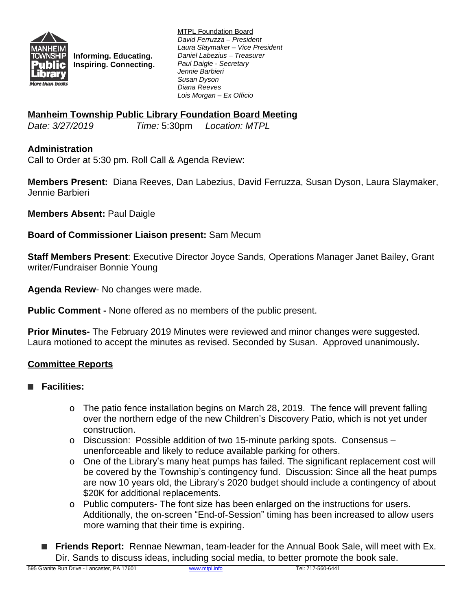

**Informing. Educating. Inspiring. Connecting.** MTPL Foundation Board *David Ferruzza – President Laura Slaymaker – Vice President Daniel Labezius – Treasurer Paul Daigle - Secretary Jennie Barbieri Susan Dyson Diana Reeves Lois Morgan – Ex Officio*

## **Manheim Township Public Library Foundation Board Meeting**

*Date: 3/27/2019 Time:* 5:30pm *Location: MTPL*

### **Administration**

Call to Order at 5:30 pm. Roll Call & Agenda Review:

**Members Present:** Diana Reeves, Dan Labezius, David Ferruzza, Susan Dyson, Laura Slaymaker, Jennie Barbieri

**Members Absent:** Paul Daigle

**Board of Commissioner Liaison present:** Sam Mecum

**Staff Members Present**: Executive Director Joyce Sands, Operations Manager Janet Bailey, Grant writer/Fundraiser Bonnie Young

**Agenda Review**- No changes were made.

**Public Comment -** None offered as no members of the public present.

**Prior Minutes-** The February 2019 Minutes were reviewed and minor changes were suggested. Laura motioned to accept the minutes as revised. Seconded by Susan. Approved unanimously**.**

### **Committee Reports**

### **■ Facilities:**

- $\circ$  The patio fence installation begins on March 28, 2019. The fence will prevent falling over the northern edge of the new Children's Discovery Patio, which is not yet under construction.
- o Discussion: Possible addition of two 15-minute parking spots. Consensus unenforceable and likely to reduce available parking for others.
- o One of the Library's many heat pumps has failed. The significant replacement cost will be covered by the Township's contingency fund. Discussion: Since all the heat pumps are now 10 years old, the Library's 2020 budget should include a contingency of about \$20K for additional replacements.
- o Public computers- The font size has been enlarged on the instructions for users. Additionally, the on-screen "End-of-Session" timing has been increased to allow users more warning that their time is expiring.
- **Friends Report:** Rennae Newman, team-leader for the Annual Book Sale, will meet with Ex. Dir. Sands to discuss ideas, including social media, to better promote the book sale.